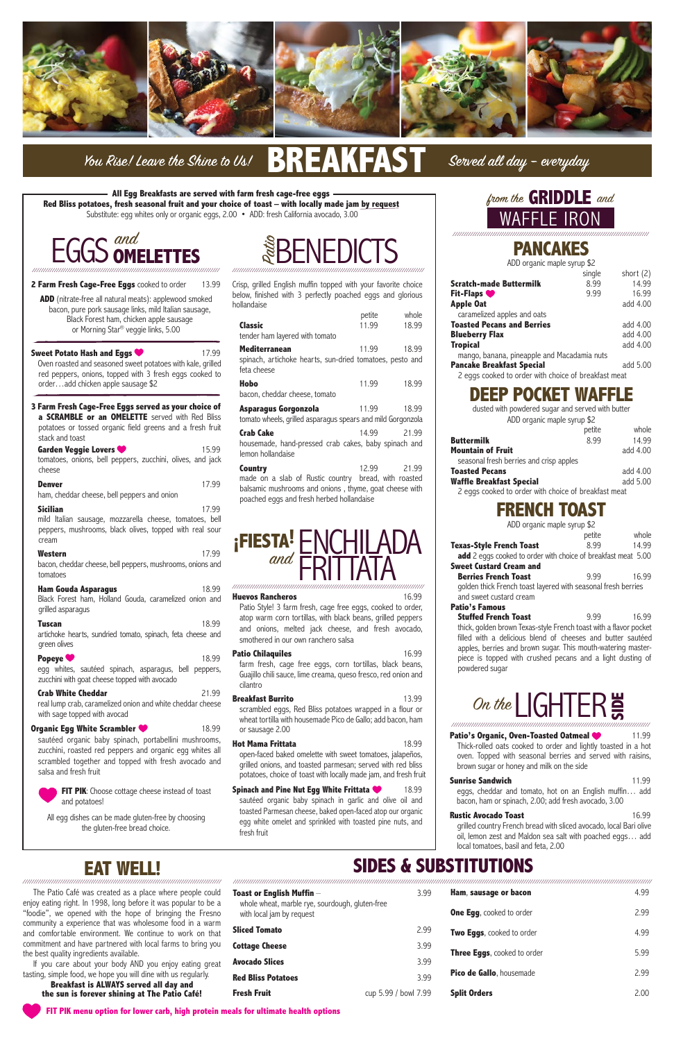

# You Rise! Leave the Shine to Us!  $\begin{array}{|c|c|}\hline \text{.} & \text{.} \end{array}$

# **PANCAKES**

ADD organic maple syrup \$2

|                                                      | single | short (2) |
|------------------------------------------------------|--------|-----------|
| Scratch-made Buttermilk                              | 8.99   | 14.99     |
| <b>Fit-Flaps</b>                                     | 9.99   | 16.99     |
| <b>Apple Oat</b>                                     |        | add 4.00  |
| caramelized apples and oats                          |        |           |
| <b>Toasted Pecans and Berries</b>                    |        | add 4.00  |
| <b>Blueberry Flax</b>                                |        | add 4.00  |
| <b>Tropical</b>                                      |        | add 4.00  |
| mango, banana, pineapple and Macadamia nuts          |        |           |
| <b>Pancake Breakfast Special</b>                     |        | add 5.00  |
| 2 eggs cooked to order with choice of breakfast meat |        |           |
|                                                      |        |           |

# **DEEP POCKET WAFFLE**

dusted with powdered sugar and served with butter ADD organic maple syrup \$2

|                                                      | petite | whole    |
|------------------------------------------------------|--------|----------|
| Buttermilk                                           | 8.99   | 14.99    |
| Mountain of Fruit                                    |        | add 4.00 |
| seasonal fresh berries and crisp apples              |        |          |
| Toasted Pecans                                       |        | add 4.00 |
| Waffle Breakfast Special                             |        | add 5.00 |
| 2 eggs cooked to order with choice of breakfast meat |        |          |

**Stuffed French Toast** 9.99 16.99 thick, golden brown Texas-style French toast with a flavor pocket filled with a delicious blend of cheeses and butter sautéed apples, berries and brown sugar. This mouth-watering masterpiece is topped with crushed pecans and a light dusting of powdered sugar

## **FRENCH TOAST**

ADD organic maple syrup \$2

#### **Sweet Potato Hash and Eggs 17.99** Oven roasted and seasoned sweet potatoes with kale, grilled red peppers, onions, topped with 3 fresh eggs cooked to order…add chicken apple sausage \$2

|                                                                      | petite | whole |
|----------------------------------------------------------------------|--------|-------|
| <b>Texas-Style French Toast</b>                                      | 899    | 14.99 |
| <b>add</b> 2 eggs cooked to order with choice of breakfast meat 5.00 |        |       |
| <b>Sweet Custard Cream and</b>                                       |        |       |
| <b>Berries French Toast</b>                                          | 9.99   | 16.99 |
| golden thick French toast layered with seasonal fresh berries        |        |       |
| and sweet custard cream                                              |        |       |
| <b>Patio's Famous</b>                                                |        |       |

**Denver** 99.99 ham, cheddar cheese, bell peppers and onion

**Sicilian** 99.712.99 mild Italian sausage, mozzarella cheese, tomatoes, bell peppers, mushrooms, black olives, topped with real sour cream

**Western** 17.99 bacon, cheddar cheese, bell peppers, mushrooms, onions and tomatoes

**Tuscan** 99.99 artichoke hearts, sundried tomato, spinach, feta cheese and green olives

**Popeye** 99.81 **Popeye** 99.81 **Popeye** 99.81 **Popeye** 99.99 egg whites, sautéed spinach, asparagus, bell peppers, zucchini with goat cheese topped with avocado

**Organic Egg White Scrambler 18.99**  sautéed organic baby spinach, portabellini mushrooms, zucchini, roasted red peppers and organic egg whites all

**ADD** (nitrate-free all natural meats): applewood smoked bacon, pure pork sausage links, mild Italian sausage, Black Forest ham, chicken apple sausage or Morning Star® veggie links, 5.00

> **FIT PIK:** Choose cottage cheese instead of toast and potatoes!

**3 Farm Fresh Cage-Free Eggs served as your choice of a SCRAMBLE or an OMELETTE** served with Red Bliss potatoes or tossed organic field greens and a fresh fruit stack and toast

| Garden Veggie Lovers                                                 | 15.99 |
|----------------------------------------------------------------------|-------|
| tomatoes, onions, bell peppers, zucchini, olives, and jack<br>cheese |       |

**Patio Chilaquiles** 8.699.16.99 farm fresh, cage free eggs, corn tortillas, black beans, Guajillo chili sauce, lime creama, queso fresco, red onion and cilantro

**Breakfast Burrito** 13.99 scrambled eggs, Red Bliss potatoes wrapped in a flour or wheat tortilla with housemade Pico de Gallo; add bacon, ham or sausage 2.00

**Hot Mama Frittata** 18.99

**Ham Gouda Asparagus** 18.99 Black Forest ham, Holland Gouda, caramelized onion and grilled asparagus

> Patio's Organic, Oven-Toasted Oatmeal **11.99**  Thick-rolled oats cooked to order and lightly toasted in a hot oven. Topped with seasonal berries and served with raisins, brown sugar or honey and milk on the side

| <b>Crab White Cheddar</b>                                  | 21.99 |
|------------------------------------------------------------|-------|
| real lump crab, caramelized onion and white cheddar cheese |       |
| with sage topped with avocad                               |       |

scrambled together and topped with fresh avocado and salsa and fresh fruit



All egg dishes can be made gluten-free by choosing the gluten-free bread choice.

## On the **LIGHTER** //////////////////////////////////////////////////////////////////////////////////////////

Crisp, grilled English muffin topped with your favorite choice below, finished with 3 perfectly poached eggs and glorious hollandaise

The Patio Café was created as a place where enjoy eating right. In 1998, long before it was po "foodie", we opened with the hope of bringin community a experience that was wholesome fo and comfortable environment. We continue to commitment and have partnered with local farms the best quality ingredients available.

If you care about your body AND you enjoy tasting, simple food, we hope you will dine with us

|                                                                         | petite              | whole |
|-------------------------------------------------------------------------|---------------------|-------|
| Classic                                                                 | 11.99               | 18.99 |
| tender ham layered with tomato                                          |                     |       |
| <b>Mediterranean</b>                                                    | 11.99               | 18.99 |
| spinach, artichoke hearts, sun-dried tomatoes, pesto and<br>feta cheese |                     |       |
| Hobo                                                                    | 11.99               | 18.99 |
| bacon, cheddar cheese, tomato                                           |                     |       |
| Asparagus Gorgonzola                                                    | 11.99               | 18.99 |
| tomato wheels, grilled asparagus spears and mild Gorgonzola             |                     |       |
| <b>Crab Cake</b>                                                        | 14.99               | 21.99 |
| housemade, hand-pressed crab cakes, baby spinach and                    |                     |       |
| lemon hollandaise                                                       |                     |       |
| Country                                                                 | 12.99               | 21.99 |
| made on a slab of Rustic country                                        | bread, with roasted |       |

**Breakfast is ALWAYS served all day the sun is forever shining at The Patio Café!**

balsamic mushrooms and onions , thyme, goat cheese with poached eggs and fresh herbed hollandaise

 Patio Style! 3 farm fresh, cage free eggs, cooked to order, atop warm corn tortillas, with black beans, grilled peppers and onions, melted jack cheese, and fresh avocado, smothered in our own ranchero salsa



## **2 Farm Fresh Cage-Free Eggs** cooked to order 13.99

open-faced baked omelette with sweet tomatoes, jalapeños,

Served all day - everyday

## **GRIDDLE** and WAFFLE IRON /////////////////////////////////////////////////////////////////////////////////////////

grilled onions, and toasted parmesan; served with red bliss potatoes, choice of toast with locally made jam, and fresh fruit

#### **Spinach and Pine Nut Egg White Frittata 18.99**

 sautéed organic baby spinach in garlic and olive oil and toasted Parmesan cheese, baked open-faced atop our organic egg white omelet and sprinkled with toasted pine nuts, and fresh fruit

#### **Sunrise Sandwich 11.99. 11.99.**

 eggs, cheddar and tomato, hot on an English muffin… add bacon, ham or spinach, 2.00; add fresh avocado, 3.00

### **Rustic Avocado Toast 16.99**

 grilled country French bread with sliced avocado, local Bari olive oil, lemon zest and Maldon sea salt with poached eggs… add local tomatoes, basil and feta, 2.00

Patio BENEDICTS ///////////////////////////////////////////////////////////////////////////////////////



#### **Huevos Rancheros 16.99**

#### ////////////////////////////////////////////////////////////////////////////////////////// //////////////////////////////////////////////////////////////////////////////////////////////////////////////////////////////////////////////////////////////////////////////////////////////

**EAT WELL!**

| people could<br>ppular to be a | Toast or English Muffin $-$<br>whole wheat, marble rye, sourdough, gluten-free | 3.99                 | Ham, sausage or bacon           | 4.99 |
|--------------------------------|--------------------------------------------------------------------------------|----------------------|---------------------------------|------|
| g the Fresno                   | with local jam by request                                                      |                      | <b>One Egg, cooked to order</b> | 2.99 |
| od in a warm<br>work on that   | <b>Sliced Tomato</b>                                                           | 2.99                 | Two Eggs, cooked to order       | 4.99 |
| s to bring you                 | <b>Cottage Cheese</b>                                                          | 3.99                 | Three Eggs, cooked to order     | 5.99 |
| eating great                   | <b>Avocado Slices</b>                                                          | 3.99                 |                                 |      |
| regularly.<br>and              | <b>Red Bliss Potatoes</b>                                                      | 3.99                 | Pico de Gallo, housemade        | 2.99 |
| o Café!                        | <b>Fresh Fruit</b>                                                             | cup 5.99 / bowl 7.99 | <b>Split Orders</b>             | 2.00 |

# **SIDES & SUBSTITUTIONS**

**All Egg Breakfasts are served with farm fresh cage-free eggs Red Bliss potatoes, fresh seasonal fruit and your choice of toast – with locally made jam by request** Substitute: egg whites only or organic eggs, 2.00 • ADD: fresh California avocado, 3.00

**FIT PIK menu option for lower carb, high protein meals for ultimate health options**